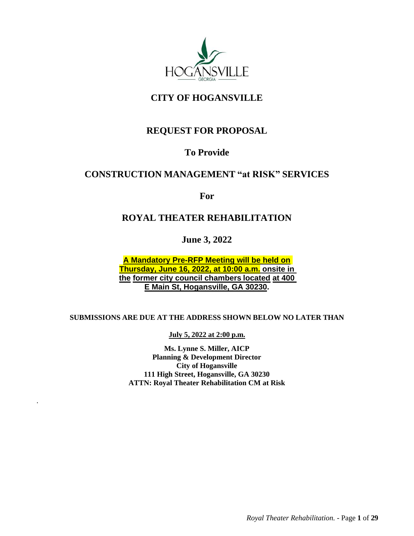

# **CITY OF HOGANSVILLE**

# **REQUEST FOR PROPOSAL**

# **To Provide**

# **CONSTRUCTION MANAGEMENT "at RISK" SERVICES**

**For**

# **ROYAL THEATER REHABILITATION**

**June 3, 2022**

**A Mandatory Pre-RFP Meeting will be held on Thursday, June 16, 2022, at 10:00 a.m. onsite in the former city council chambers located at 400 E Main St, Hogansville, GA 30230.**

# **SUBMISSIONS ARE DUE AT THE ADDRESS SHOWN BELOW NO LATER THAN**

**July 5, 2022 at 2:00 p.m.**

**Ms. Lynne S. Miller, AICP Planning & Development Director City of Hogansville 111 High Street, Hogansville, GA 30230 ATTN: Royal Theater Rehabilitation CM at Risk**

.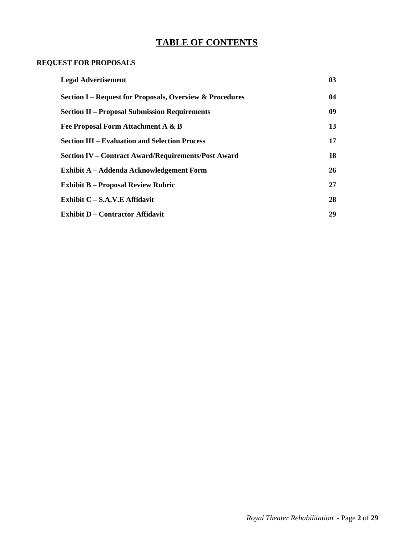# **TABLE OF CONTENTS**

# **REQUEST FOR PROPOSALS**

| <b>Legal Advertisement</b>                               | 03 |
|----------------------------------------------------------|----|
| Section I – Request for Proposals, Overview & Procedures | 04 |
| <b>Section II – Proposal Submission Requirements</b>     | 09 |
| Fee Proposal Form Attachment A & B                       | 13 |
| <b>Section III – Evaluation and Selection Process</b>    | 17 |
| Section IV – Contract Award/Requirements/Post Award      | 18 |
| <b>Exhibit A – Addenda Acknowledgement Form</b>          | 26 |
| <b>Exhibit B – Proposal Review Rubric</b>                | 27 |
| Exhibit C - S.A.V.E Affidavit                            | 28 |
| <b>Exhibit D - Contractor Affidavit</b>                  | 29 |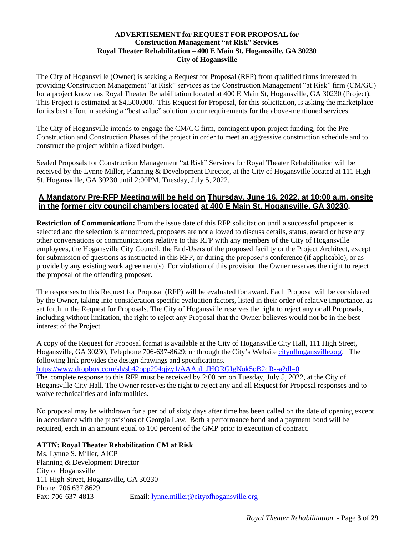## **ADVERTISEMENT for REQUEST FOR PROPOSAL for Construction Management "at Risk" Services Royal Theater Rehabilitation – 400 E Main St, Hogansville, GA 30230 City of Hogansville**

The City of Hogansville (Owner) is seeking a Request for Proposal (RFP) from qualified firms interested in providing Construction Management "at Risk" services as the Construction Management "at Risk" firm (CM/GC) for a project known as Royal Theater Rehabilitation located at 400 E Main St, Hogansville, GA 30230 (Project). This Project is estimated at \$4,500,000. This Request for Proposal, for this solicitation, is asking the marketplace for its best effort in seeking a "best value" solution to our requirements for the above-mentioned services.

The City of Hogansville intends to engage the CM/GC firm, contingent upon project funding, for the Pre-Construction and Construction Phases of the project in order to meet an aggressive construction schedule and to construct the project within a fixed budget.

Sealed Proposals for Construction Management "at Risk" Services for Royal Theater Rehabilitation will be received by the Lynne Miller, Planning & Development Director, at the City of Hogansville located at 111 High St, Hogansville, GA 30230 until 2:00PM, Tuesday, July 5, 2022.

# **A Mandatory Pre-RFP Meeting will be held on Thursday, June 16, 2022, at 10:00 a.m. onsite in the former city council chambers located at 400 E Main St, Hogansville, GA 30230.**

**Restriction of Communication:** From the issue date of this RFP solicitation until a successful proposer is selected and the selection is announced, proposers are not allowed to discuss details, status, award or have any other conversations or communications relative to this RFP with any members of the City of Hogansville employees, the Hogansville City Council, the End-Users of the proposed facility or the Project Architect, except for submission of questions as instructed in this RFP, or during the proposer's conference (if applicable), or as provide by any existing work agreement(s). For violation of this provision the Owner reserves the right to reject the proposal of the offending proposer.

The responses to this Request for Proposal (RFP) will be evaluated for award. Each Proposal will be considered by the Owner, taking into consideration specific evaluation factors, listed in their order of relative importance, as set forth in the Request for Proposals. The City of Hogansville reserves the right to reject any or all Proposals, including without limitation, the right to reject any Proposal that the Owner believes would not be in the best interest of the Project.

A copy of the Request for Proposal format is available at the City of Hogansville City Hall, 111 High Street, Hogansville, GA 30230, Telephone 706-637-8629; or through the City's Website [cityofhogansville.org.](https://cityofhogansville.org/) The following link provides the design drawings and specifications.

[https://www.dropbox.com/sh/sb42opp294qjzy1/AAAuI\\_JHORGIgNok5oB2qR--a?dl=0](https://www.dropbox.com/sh/sb42opp294qjzy1/AAAuI_JHORGIgNok5oB2qR--a?dl=0)

The complete response to this RFP must be received by 2:00 pm on Tuesday, July 5, 2022, at the City of Hogansville City Hall. The Owner reserves the right to reject any and all Request for Proposal responses and to waive technicalities and informalities.

No proposal may be withdrawn for a period of sixty days after time has been called on the date of opening except in accordance with the provisions of Georgia Law. Both a performance bond and a payment bond will be required, each in an amount equal to 100 percent of the GMP prior to execution of contract.

# **ATTN: Royal Theater Rehabilitation CM at Risk**

Ms. Lynne S. Miller, AICP Planning & Development Director City of Hogansville 111 High Street, Hogansville, GA 30230 Phone: 706.637.8629 Fax: 706-637-4813 Email: [lynne.miller@cityofhogansville.org](mailto:lynne.miller@cityofhogansville.org)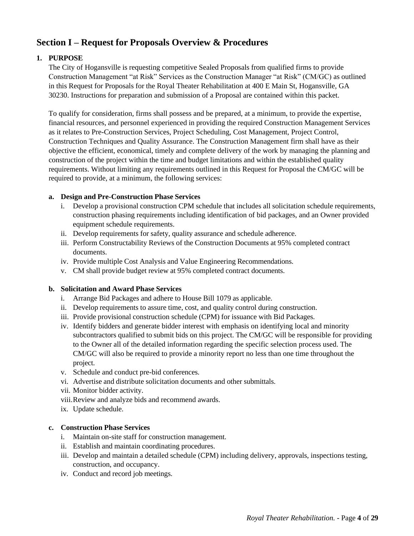# <span id="page-3-0"></span>**Section I – Request for Proposals Overview & Procedures**

# **1. PURPOSE**

The City of Hogansville is requesting competitive Sealed Proposals from qualified firms to provide Construction Management "at Risk" Services as the Construction Manager "at Risk" (CM/GC) as outlined in this Request for Proposals for the Royal Theater Rehabilitation at 400 E Main St, Hogansville, GA 30230. Instructions for preparation and submission of a Proposal are contained within this packet.

To qualify for consideration, firms shall possess and be prepared, at a minimum, to provide the expertise, financial resources, and personnel experienced in providing the required Construction Management Services as it relates to Pre-Construction Services, Project Scheduling, Cost Management, Project Control, Construction Techniques and Quality Assurance. The Construction Management firm shall have as their objective the efficient, economical, timely and complete delivery of the work by managing the planning and construction of the project within the time and budget limitations and within the established quality requirements. Without limiting any requirements outlined in this Request for Proposal the CM/GC will be required to provide, at a minimum, the following services:

## **a. Design and Pre-Construction Phase Services**

- i. Develop a provisional construction CPM schedule that includes all solicitation schedule requirements, construction phasing requirements including identification of bid packages, and an Owner provided equipment schedule requirements.
- ii. Develop requirements for safety, quality assurance and schedule adherence.
- iii. Perform Constructability Reviews of the Construction Documents at 95% completed contract documents.
- iv. Provide multiple Cost Analysis and Value Engineering Recommendations.
- v. CM shall provide budget review at 95% completed contract documents.

# **b. Solicitation and Award Phase Services**

- i. Arrange Bid Packages and adhere to House Bill 1079 as applicable.
- ii. Develop requirements to assure time, cost, and quality control during construction.
- iii. Provide provisional construction schedule (CPM) for issuance with Bid Packages.
- iv. Identify bidders and generate bidder interest with emphasis on identifying local and minority subcontractors qualified to submit bids on this project. The CM/GC will be responsible for providing to the Owner all of the detailed information regarding the specific selection process used. The CM/GC will also be required to provide a minority report no less than one time throughout the project.
- v. Schedule and conduct pre-bid conferences.
- vi. Advertise and distribute solicitation documents and other submittals.
- vii. Monitor bidder activity.
- viii.Review and analyze bids and recommend awards.
- ix. Update schedule.

## **c. Construction Phase Services**

- i. Maintain on-site staff for construction management.
- ii. Establish and maintain coordinating procedures.
- iii. Develop and maintain a detailed schedule (CPM) including delivery, approvals, inspections testing, construction, and occupancy.
- iv. Conduct and record job meetings.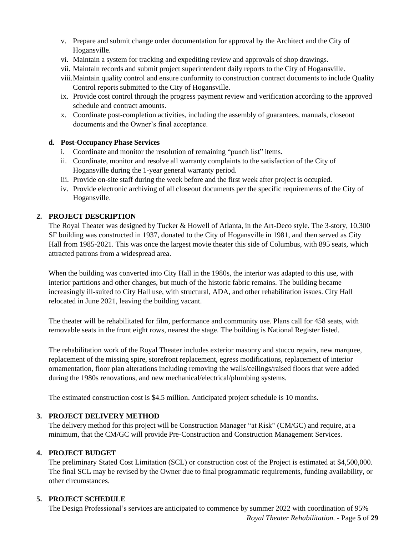- v. Prepare and submit change order documentation for approval by the Architect and the City of Hogansville.
- vi. Maintain a system for tracking and expediting review and approvals of shop drawings.
- vii. Maintain records and submit project superintendent daily reports to the City of Hogansville.
- viii.Maintain quality control and ensure conformity to construction contract documents to include Quality Control reports submitted to the City of Hogansville.
- ix. Provide cost control through the progress payment review and verification according to the approved schedule and contract amounts.
- x. Coordinate post-completion activities, including the assembly of guarantees, manuals, closeout documents and the Owner's final acceptance.

## **d. Post-Occupancy Phase Services**

- i. Coordinate and monitor the resolution of remaining "punch list" items.
- ii. Coordinate, monitor and resolve all warranty complaints to the satisfaction of the City of Hogansville during the 1-year general warranty period.
- iii. Provide on-site staff during the week before and the first week after project is occupied.
- iv. Provide electronic archiving of all closeout documents per the specific requirements of the City of Hogansville.

# **2. PROJECT DESCRIPTION**

The Royal Theater was designed by Tucker & Howell of Atlanta, in the Art-Deco style. The 3-story, 10,300 SF building was constructed in 1937, donated to the City of Hogansville in 1981, and then served as City Hall from 1985-2021. This was once the largest movie theater this side of Columbus, with 895 seats, which attracted patrons from a widespread area.

When the building was converted into City Hall in the 1980s, the interior was adapted to this use, with interior partitions and other changes, but much of the historic fabric remains. The building became increasingly ill-suited to City Hall use, with structural, ADA, and other rehabilitation issues. City Hall relocated in June 2021, leaving the building vacant.

The theater will be rehabilitated for film, performance and community use. Plans call for 458 seats, with removable seats in the front eight rows, nearest the stage. The building is National Register listed.

The rehabilitation work of the Royal Theater includes exterior masonry and stucco repairs, new marquee, replacement of the missing spire, storefront replacement, egress modifications, replacement of interior ornamentation, floor plan alterations including removing the walls/ceilings/raised floors that were added during the 1980s renovations, and new mechanical/electrical/plumbing systems.

The estimated construction cost is \$4.5 million. Anticipated project schedule is 10 months.

## **3. PROJECT DELIVERY METHOD**

The delivery method for this project will be Construction Manager "at Risk" (CM/GC) and require, at a minimum, that the CM/GC will provide Pre-Construction and Construction Management Services.

## **4. PROJECT BUDGET**

The preliminary Stated Cost Limitation (SCL) or construction cost of the Project is estimated at \$4,500,000. The final SCL may be revised by the Owner due to final programmatic requirements, funding availability, or other circumstances.

# **5. PROJECT SCHEDULE**

The Design Professional's services are anticipated to commence by summer 2022 with coordination of 95%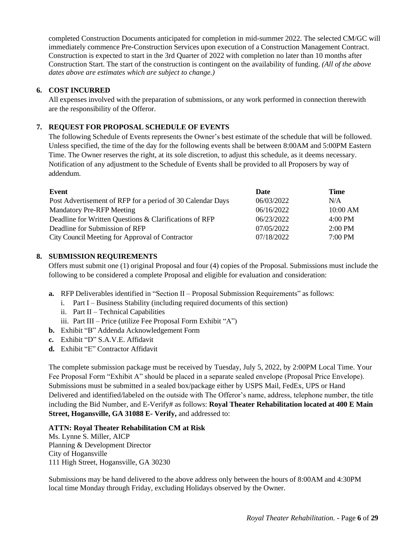completed Construction Documents anticipated for completion in mid-summer 2022. The selected CM/GC will immediately commence Pre-Construction Services upon execution of a Construction Management Contract. Construction is expected to start in the 3rd Quarter of 2022 with completion no later than 10 months after Construction Start. The start of the construction is contingent on the availability of funding. *(All of the above dates above are estimates which are subject to change.)*

# **6. COST INCURRED**

All expenses involved with the preparation of submissions, or any work performed in connection therewith are the responsibility of the Offeror.

## **7. REQUEST FOR PROPOSAL SCHEDULE OF EVENTS**

The following Schedule of Events represents the Owner's best estimate of the schedule that will be followed. Unless specified, the time of the day for the following events shall be between 8:00AM and 5:00PM Eastern Time. The Owner reserves the right, at its sole discretion, to adjust this schedule, as it deems necessary. Notification of any adjustment to the Schedule of Events shall be provided to all Proposers by way of addendum.

| Event                                                      | Date       | Time              |
|------------------------------------------------------------|------------|-------------------|
| Post Advertisement of RFP for a period of 30 Calendar Days | 06/03/2022 | N/A               |
| <b>Mandatory Pre-RFP Meeting</b>                           | 06/16/2022 | 10:00 AM          |
| Deadline for Written Questions & Clarifications of RFP     | 06/23/2022 | $4:00 \text{ PM}$ |
| Deadline for Submission of RFP                             | 07/05/2022 | $2:00 \text{ PM}$ |
| City Council Meeting for Approval of Contractor            | 07/18/2022 | $7:00$ PM         |

## **8. SUBMISSION REQUIREMENTS**

Offers must submit one (1) original Proposal and four (4) copies of the Proposal. Submissions must include the following to be considered a complete Proposal and eligible for evaluation and consideration:

- **a.** RFP Deliverables identified in "Section II Proposal Submission Requirements" as follows:
	- i. Part I Business Stability (including required documents of this section)
	- ii. Part II Technical Capabilities
	- iii. Part III Price (utilize Fee Proposal Form Exhibit "A")
- **b.** Exhibit "B" Addenda Acknowledgement Form
- **c.** Exhibit "D" S.A.V.E. Affidavit
- **d.** Exhibit "E" Contractor Affidavit

The complete submission package must be received by Tuesday, July 5, 2022, by 2:00PM Local Time. Your Fee Proposal Form "Exhibit A" should be placed in a separate sealed envelope (Proposal Price Envelope). Submissions must be submitted in a sealed box/package either by USPS Mail, FedEx, UPS or Hand Delivered and identified/labeled on the outside with The Offeror's name, address, telephone number, the title including the Bid Number, and E-Verify# as follows: **Royal Theater Rehabilitation located at 400 E Main Street, Hogansville, GA 31088 E- Verify,** and addressed to:

## **ATTN: Royal Theater Rehabilitation CM at Risk**

Ms. Lynne S. Miller, AICP Planning & Development Director City of Hogansville 111 High Street, Hogansville, GA 30230

Submissions may be hand delivered to the above address only between the hours of 8:00AM and 4:30PM local time Monday through Friday, excluding Holidays observed by the Owner.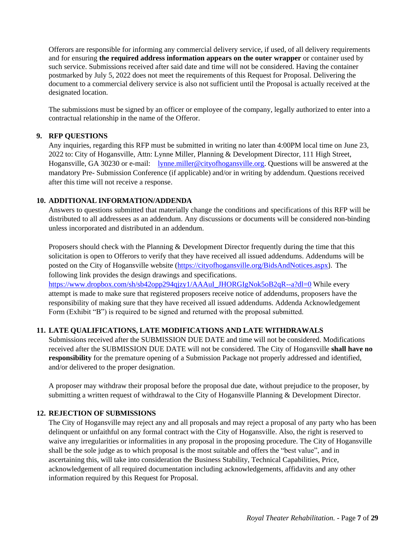Offerors are responsible for informing any commercial delivery service, if used, of all delivery requirements and for ensuring **the required address information appears on the outer wrapper** or container used by such service. Submissions received after said date and time will not be considered. Having the container postmarked by July 5, 2022 does not meet the requirements of this Request for Proposal. Delivering the document to a commercial delivery service is also not sufficient until the Proposal is actually received at the designated location.

The submissions must be signed by an officer or employee of the company, legally authorized to enter into a contractual relationship in the name of the Offeror.

## **9. RFP QUESTIONS**

Any inquiries, regarding this RFP must be submitted in writing no later than 4:00PM local time on June 23, 2022 to: City of Hogansville, Attn: Lynne Miller, Planning & Development Director, 111 High Street, Hogansville, GA 30230 or e-mail: [lynne.miller@cityofhogansville.org.](mailto:lynne.miller@cityofhogansville.org) Questions will be answered at the mandatory Pre- Submission Conference (if applicable) and/or in writing by addendum. Questions received after this time will not receive a response.

## **10. ADDITIONAL INFORMATION/ADDENDA**

Answers to questions submitted that materially change the conditions and specifications of this RFP will be distributed to all addressees as an addendum. Any discussions or documents will be considered non-binding unless incorporated and distributed in an addendum.

Proposers should check with the Planning & Development Director frequently during the time that this solicitation is open to Offerors to verify that they have received all issued addendums. Addendums will be posted on the City of Hogansville website [\(https://cityofhogansville.org/BidsAndNotices.aspx](https://cityofhogansville.org/BidsAndNotices.aspx)). The following link provides the design drawings and specifications.

[https://www.dropbox.com/sh/sb42opp294qjzy1/AAAuI\\_JHORGIgNok5oB2qR--a?dl=0](https://www.dropbox.com/sh/sb42opp294qjzy1/AAAuI_JHORGIgNok5oB2qR--a?dl=0) While every attempt is made to make sure that registered proposers receive notice of addendums, proposers have the responsibility of making sure that they have received all issued addendums. Addenda Acknowledgement Form (Exhibit "B") is required to be signed and returned with the proposal submitted.

# **11. LATE QUALIFICATIONS, LATE MODIFICATIONS AND LATE WITHDRAWALS**

Submissions received after the SUBMISSION DUE DATE and time will not be considered. Modifications received after the SUBMISSION DUE DATE will not be considered. The City of Hogansville **shall have no responsibility** for the premature opening of a Submission Package not properly addressed and identified, and/or delivered to the proper designation.

A proposer may withdraw their proposal before the proposal due date, without prejudice to the proposer, by submitting a written request of withdrawal to the City of Hogansville Planning & Development Director.

# **12. REJECTION OF SUBMISSIONS**

The City of Hogansville may reject any and all proposals and may reject a proposal of any party who has been delinquent or unfaithful on any formal contract with the City of Hogansville. Also, the right is reserved to waive any irregularities or informalities in any proposal in the proposing procedure. The City of Hogansville shall be the sole judge as to which proposal is the most suitable and offers the "best value", and in ascertaining this, will take into consideration the Business Stability, Technical Capabilities, Price, acknowledgement of all required documentation including acknowledgements, affidavits and any other information required by this Request for Proposal.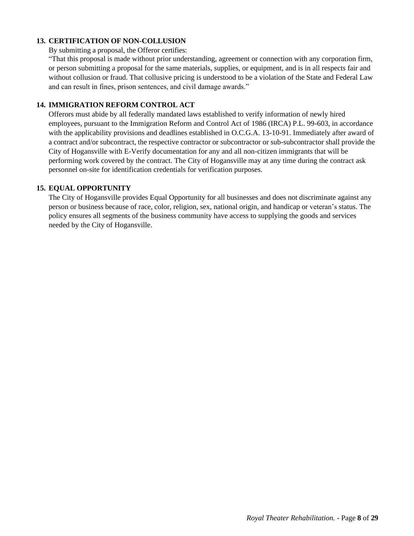# **13. CERTIFICATION OF NON-COLLUSION**

By submitting a proposal, the Offeror certifies:

"That this proposal is made without prior understanding, agreement or connection with any corporation firm, or person submitting a proposal for the same materials, supplies, or equipment, and is in all respects fair and without collusion or fraud. That collusive pricing is understood to be a violation of the State and Federal Law and can result in fines, prison sentences, and civil damage awards."

### **14. IMMIGRATION REFORM CONTROL ACT**

Offerors must abide by all federally mandated laws established to verify information of newly hired employees, pursuant to the Immigration Reform and Control Act of 1986 (IRCA) P.L. 99-603, in accordance with the applicability provisions and deadlines established in O.C.G.A. 13-10-91. Immediately after award of a contract and/or subcontract, the respective contractor or subcontractor or sub-subcontractor shall provide the City of Hogansville with E-Verify documentation for any and all non-citizen immigrants that will be performing work covered by the contract. The City of Hogansville may at any time during the contract ask personnel on-site for identification credentials for verification purposes.

### **15. EQUAL OPPORTUNITY**

The City of Hogansville provides Equal Opportunity for all businesses and does not discriminate against any person or business because of race, color, religion, sex, national origin, and handicap or veteran's status. The policy ensures all segments of the business community have access to supplying the goods and services needed by the City of Hogansville.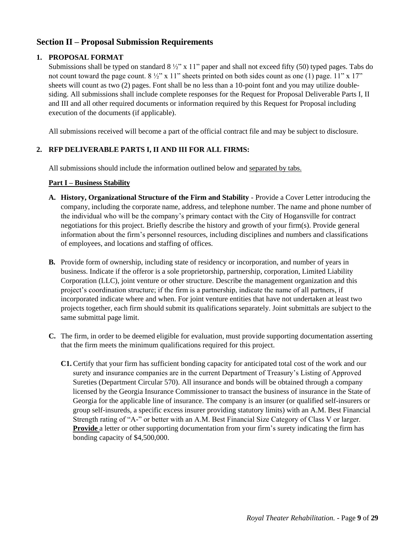# <span id="page-8-0"></span>**Section II – Proposal Submission Requirements**

# **1. PROPOSAL FORMAT**

Submissions shall be typed on standard 8 ½" x 11" paper and shall not exceed fifty (50) typed pages. Tabs do not count toward the page count.  $8\frac{1}{2}$ " x 11" sheets printed on both sides count as one (1) page. 11" x 17" sheets will count as two (2) pages. Font shall be no less than a 10-point font and you may utilize doublesiding. All submissions shall include complete responses for the Request for Proposal Deliverable Parts I, II and III and all other required documents or information required by this Request for Proposal including execution of the documents (if applicable).

All submissions received will become a part of the official contract file and may be subject to disclosure.

## **2. RFP DELIVERABLE PARTS I, II AND III FOR ALL FIRMS:**

All submissions should include the information outlined below and separated by tabs.

## **Part I – Business Stability**

- **A. History, Organizational Structure of the Firm and Stability**  Provide a Cover Letter introducing the company, including the corporate name, address, and telephone number. The name and phone number of the individual who will be the company's primary contact with the City of Hogansville for contract negotiations for this project. Briefly describe the history and growth of your firm(s). Provide general information about the firm's personnel resources, including disciplines and numbers and classifications of employees, and locations and staffing of offices.
- **B.** Provide form of ownership, including state of residency or incorporation, and number of years in business. Indicate if the offeror is a sole proprietorship, partnership, corporation, Limited Liability Corporation (LLC), joint venture or other structure. Describe the management organization and this project's coordination structure; if the firm is a partnership, indicate the name of all partners, if incorporated indicate where and when. For joint venture entities that have not undertaken at least two projects together, each firm should submit its qualifications separately. Joint submittals are subject to the same submittal page limit.
- **C.** The firm, in order to be deemed eligible for evaluation, must provide supporting documentation asserting that the firm meets the minimum qualifications required for this project.
	- **C1.** Certify that your firm has sufficient bonding capacity for anticipated total cost of the work and our surety and insurance companies are in the current Department of Treasury's Listing of Approved Sureties (Department Circular 570). All insurance and bonds will be obtained through a company licensed by the Georgia Insurance Commissioner to transact the business of insurance in the State of Georgia for the applicable line of insurance. The company is an insurer (or qualified self-insurers or group self-insureds, a specific excess insurer providing statutory limits) with an A.M. Best Financial Strength rating of "A-" or better with an A.M. Best Financial Size Category of Class V or larger. **Provide** a letter or other supporting documentation from your firm's surety indicating the firm has bonding capacity of \$4,500,000.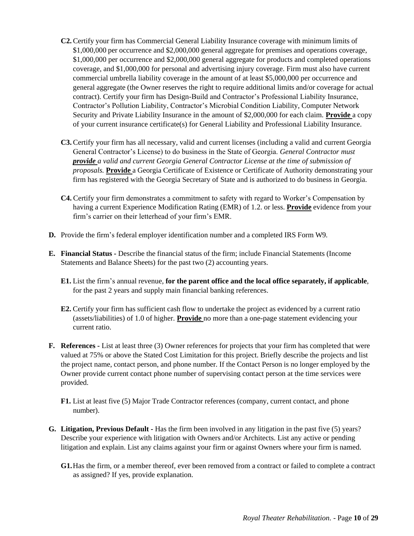- **C2.** Certify your firm has Commercial General Liability Insurance coverage with minimum limits of \$1,000,000 per occurrence and \$2,000,000 general aggregate for premises and operations coverage, \$1,000,000 per occurrence and \$2,000,000 general aggregate for products and completed operations coverage, and \$1,000,000 for personal and advertising injury coverage. Firm must also have current commercial umbrella liability coverage in the amount of at least \$5,000,000 per occurrence and general aggregate (the Owner reserves the right to require additional limits and/or coverage for actual contract). Certify your firm has Design-Build and Contractor's Professional Liability Insurance, Contractor's Pollution Liability, Contractor's Microbial Condition Liability, Computer Network Security and Private Liability Insurance in the amount of \$2,000,000 for each claim. **Provide** a copy of your current insurance certificate(s) for General Liability and Professional Liability Insurance.
- **C3.** Certify your firm has all necessary, valid and current licenses (including a valid and current Georgia General Contractor's License) to do business in the State of Georgia. *General Contractor must provide a valid and current Georgia General Contractor License at the time of submission of proposals.* **Provide** a Georgia Certificate of Existence or Certificate of Authority demonstrating your firm has registered with the Georgia Secretary of State and is authorized to do business in Georgia.
- **C4.** Certify your firm demonstrates a commitment to safety with regard to Worker's Compensation by having a current Experience Modification Rating (EMR) of 1.2. or less. **Provide** evidence from your firm's carrier on their letterhead of your firm's EMR.
- **D.** Provide the firm's federal employer identification number and a completed IRS Form W9.
- **E. Financial Status -** Describe the financial status of the firm; include Financial Statements (Income Statements and Balance Sheets) for the past two (2) accounting years.
	- **E1.** List the firm's annual revenue, **for the parent office and the local office separately, if applicable**, for the past 2 years and supply main financial banking references.
	- **E2.** Certify your firm has sufficient cash flow to undertake the project as evidenced by a current ratio (assets/liabilities) of 1.0 of higher. **Provide** no more than a one-page statement evidencing your current ratio.
- **F. References -** List at least three (3) Owner references for projects that your firm has completed that were valued at 75% or above the Stated Cost Limitation for this project. Briefly describe the projects and list the project name, contact person, and phone number. If the Contact Person is no longer employed by the Owner provide current contact phone number of supervising contact person at the time services were provided.
	- **F1.** List at least five (5) Major Trade Contractor references (company, current contact, and phone number).
- **G. Litigation, Previous Default -** Has the firm been involved in any litigation in the past five (5) years? Describe your experience with litigation with Owners and/or Architects. List any active or pending litigation and explain. List any claims against your firm or against Owners where your firm is named.
	- **G1.**Has the firm, or a member thereof, ever been removed from a contract or failed to complete a contract as assigned? If yes, provide explanation.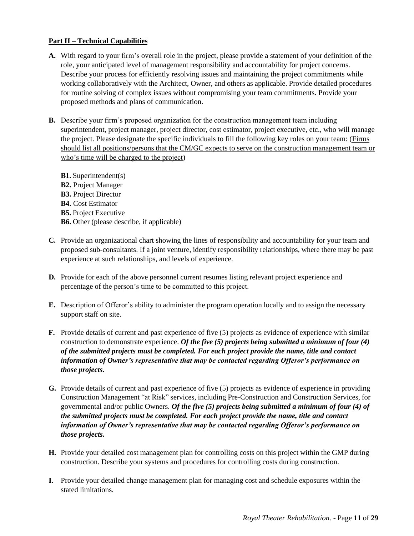# **Part II – Technical Capabilities**

- **A.** With regard to your firm's overall role in the project, please provide a statement of your definition of the role, your anticipated level of management responsibility and accountability for project concerns. Describe your process for efficiently resolving issues and maintaining the project commitments while working collaboratively with the Architect, Owner, and others as applicable. Provide detailed procedures for routine solving of complex issues without compromising your team commitments. Provide your proposed methods and plans of communication.
- **B.** Describe your firm's proposed organization for the construction management team including superintendent, project manager, project director, cost estimator, project executive, etc., who will manage the project. Please designate the specific individuals to fill the following key roles on your team: (Firms should list all positions/persons that the CM/GC expects to serve on the construction management team or who's time will be charged to the project)
	- **B1.** Superintendent(s) **B2.** Project Manager **B3.** Project Director **B4.** Cost Estimator **B5.** Project Executive **B6.** Other (please describe, if applicable)
- **C.** Provide an organizational chart showing the lines of responsibility and accountability for your team and proposed sub-consultants. If a joint venture, identify responsibility relationships, where there may be past experience at such relationships, and levels of experience.
- **D.** Provide for each of the above personnel current resumes listing relevant project experience and percentage of the person's time to be committed to this project.
- **E.** Description of Offeror's ability to administer the program operation locally and to assign the necessary support staff on site.
- **F.** Provide details of current and past experience of five (5) projects as evidence of experience with similar construction to demonstrate experience. *Of the five (5) projects being submitted a minimum of four (4) of the submitted projects must be completed. For each project provide the name, title and contact information of Owner's representative that may be contacted regarding Offeror's performance on those projects.*
- **G.** Provide details of current and past experience of five (5) projects as evidence of experience in providing Construction Management "at Risk" services, including Pre-Construction and Construction Services, for governmental and/or public Owners. *Of the five (5) projects being submitted a minimum of four (4) of the submitted projects must be completed. For each project provide the name, title and contact information of Owner's representative that may be contacted regarding Offeror's performance on those projects.*
- **H.** Provide your detailed cost management plan for controlling costs on this project within the GMP during construction. Describe your systems and procedures for controlling costs during construction.
- **I.** Provide your detailed change management plan for managing cost and schedule exposures within the stated limitations.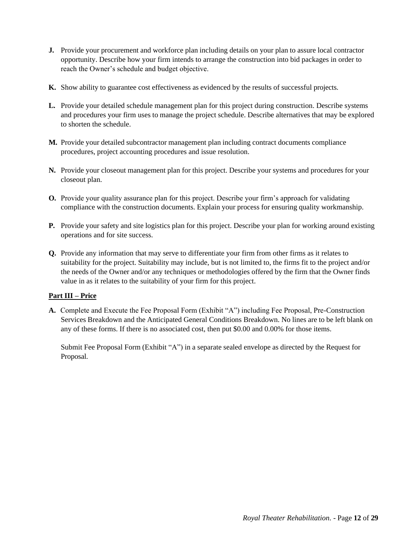- **J.** Provide your procurement and workforce plan including details on your plan to assure local contractor opportunity. Describe how your firm intends to arrange the construction into bid packages in order to reach the Owner's schedule and budget objective.
- **K.** Show ability to guarantee cost effectiveness as evidenced by the results of successful projects.
- **L.** Provide your detailed schedule management plan for this project during construction. Describe systems and procedures your firm uses to manage the project schedule. Describe alternatives that may be explored to shorten the schedule.
- **M.** Provide your detailed subcontractor management plan including contract documents compliance procedures, project accounting procedures and issue resolution.
- **N.** Provide your closeout management plan for this project. Describe your systems and procedures for your closeout plan.
- **O.** Provide your quality assurance plan for this project. Describe your firm's approach for validating compliance with the construction documents. Explain your process for ensuring quality workmanship.
- **P.** Provide your safety and site logistics plan for this project. Describe your plan for working around existing operations and for site success.
- **Q.** Provide any information that may serve to differentiate your firm from other firms as it relates to suitability for the project. Suitability may include, but is not limited to, the firms fit to the project and/or the needs of the Owner and/or any techniques or methodologies offered by the firm that the Owner finds value in as it relates to the suitability of your firm for this project.

# **Part III – Price**

**A.** Complete and Execute the Fee Proposal Form (Exhibit "A") including Fee Proposal, Pre-Construction Services Breakdown and the Anticipated General Conditions Breakdown. No lines are to be left blank on any of these forms. If there is no associated cost, then put \$0.00 and 0.00% for those items.

Submit Fee Proposal Form (Exhibit "A") in a separate sealed envelope as directed by the Request for Proposal.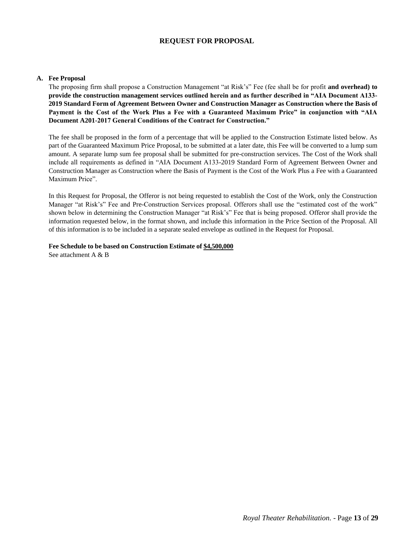## **REQUEST FOR PROPOSAL**

#### **A. Fee Proposal**

The proposing firm shall propose a Construction Management "at Risk's" Fee (fee shall be for profit **and overhead) to provide the construction management services outlined herein and as further described in "AIA Document A133- 2019 Standard Form of Agreement Between Owner and Construction Manager as Construction where the Basis of Payment is the Cost of the Work Plus a Fee with a Guaranteed Maximum Price" in conjunction with "AIA Document A201-2017 General Conditions of the Contract for Construction."**

The fee shall be proposed in the form of a percentage that will be applied to the Construction Estimate listed below. As part of the Guaranteed Maximum Price Proposal, to be submitted at a later date, this Fee will be converted to a lump sum amount. A separate lump sum fee proposal shall be submitted for pre-construction services. The Cost of the Work shall include all requirements as defined in "AIA Document A133-2019 Standard Form of Agreement Between Owner and Construction Manager as Construction where the Basis of Payment is the Cost of the Work Plus a Fee with a Guaranteed Maximum Price".

In this Request for Proposal, the Offeror is not being requested to establish the Cost of the Work, only the Construction Manager "at Risk's" Fee and Pre-Construction Services proposal. Offerors shall use the "estimated cost of the work" shown below in determining the Construction Manager "at Risk's" Fee that is being proposed. Offeror shall provide the information requested below, in the format shown, and include this information in the Price Section of the Proposal. All of this information is to be included in a separate sealed envelope as outlined in the Request for Proposal.

**Fee Schedule to be based on Construction Estimate of \$4,500,000** See attachment A & B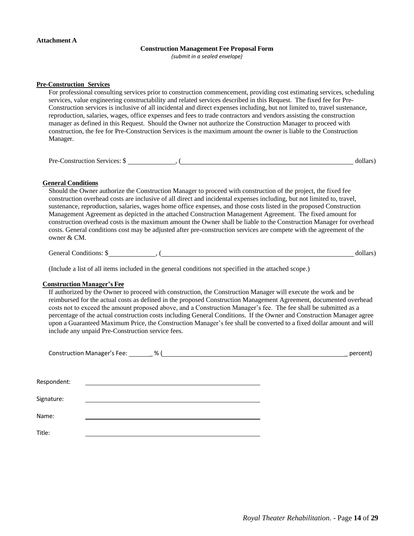#### **Construction Management Fee Proposal Form**

*(submit in a sealed envelope)*

#### **Pre-Construction Services**

For professional consulting services prior to construction commencement, providing cost estimating services, scheduling services, value engineering constructability and related services described in this Request. The fixed fee for Pre-Construction services is inclusive of all incidental and direct expenses including, but not limited to, travel sustenance, reproduction, salaries, wages, office expenses and fees to trade contractors and vendors assisting the construction manager as defined in this Request. Should the Owner not authorize the Construction Manager to proceed with construction, the fee for Pre-Construction Services is the maximum amount the owner is liable to the Construction Manager.

Pre-Construction Services: \$ , ( dollars)

#### **General Conditions**

Should the Owner authorize the Construction Manager to proceed with construction of the project, the fixed fee construction overhead costs are inclusive of all direct and incidental expenses including, but not limited to, travel, sustenance, reproduction, salaries, wages home office expenses, and those costs listed in the proposed Construction Management Agreement as depicted in the attached Construction Management Agreement. The fixed amount for construction overhead costs is the maximum amount the Owner shall be liable to the Construction Manager for overhead costs. General conditions cost may be adjusted after pre-construction services are compete with the agreement of the owner & CM.

General Conditions: \$ , ( dollars)

(Include a list of all items included in the general conditions not specified in the attached scope.)

#### **Construction Manager's Fee**

If authorized by the Owner to proceed with construction, the Construction Manager will execute the work and be reimbursed for the actual costs as defined in the proposed Construction Management Agreement, documented overhead costs not to exceed the amount proposed above, and a Construction Manager's fee. The fee shall be submitted as a percentage of the actual construction costs including General Conditions. If the Owner and Construction Manager agree upon a Guaranteed Maximum Price, the Construction Manager's fee shall be converted to a fixed dollar amount and will include any unpaid Pre-Construction service fees.

|             | Construction Manager's Fee: _______ % ( |  | percent) |
|-------------|-----------------------------------------|--|----------|
| Respondent: |                                         |  |          |
| Signature:  |                                         |  |          |
| Name:       |                                         |  |          |
| Title:      |                                         |  |          |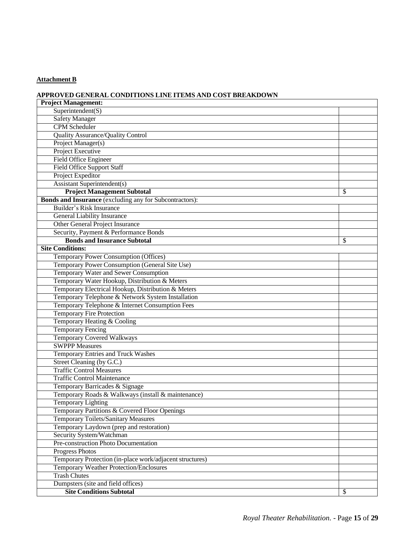# **Attachment B**

# **APPROVED GENERAL CONDITIONS LINE ITEMS AND COST BREAKDOWN**

| <b>Project Management:</b>                                     |    |
|----------------------------------------------------------------|----|
| Superintendent(S)                                              |    |
| <b>Safety Manager</b>                                          |    |
| <b>CPM</b> Scheduler                                           |    |
| <b>Quality Assurance/Quality Control</b>                       |    |
| Project Manager(s)                                             |    |
| Project Executive                                              |    |
| Field Office Engineer                                          |    |
| <b>Field Office Support Staff</b>                              |    |
| Project Expeditor                                              |    |
| <b>Assistant Superintendent(s)</b>                             |    |
| <b>Project Management Subtotal</b>                             | \$ |
| <b>Bonds and Insurance</b> (excluding any for Subcontractors): |    |
| Builder's Risk Insurance                                       |    |
| <b>General Liability Insurance</b>                             |    |
| Other General Project Insurance                                |    |
| Security, Payment & Performance Bonds                          |    |
| <b>Bonds and Insurance Subtotal</b>                            | \$ |
| <b>Site Conditions:</b>                                        |    |
| Temporary Power Consumption (Offices)                          |    |
| Temporary Power Consumption (General Site Use)                 |    |
| Temporary Water and Sewer Consumption                          |    |
| Temporary Water Hookup, Distribution & Meters                  |    |
| Temporary Electrical Hookup, Distribution & Meters             |    |
| Temporary Telephone & Network System Installation              |    |
| Temporary Telephone & Internet Consumption Fees                |    |
| <b>Temporary Fire Protection</b>                               |    |
| Temporary Heating & Cooling                                    |    |
| <b>Temporary Fencing</b>                                       |    |
| <b>Temporary Covered Walkways</b>                              |    |
| <b>SWPPP Measures</b>                                          |    |
| Temporary Entries and Truck Washes                             |    |
| Street Cleaning (by G.C.)                                      |    |
| <b>Traffic Control Measures</b>                                |    |
| <b>Traffic Control Maintenance</b>                             |    |
| Temporary Barricades & Signage                                 |    |
| Temporary Roads & Walkways (install & maintenance)             |    |
| <b>Temporary Lighting</b>                                      |    |
| Temporary Partitions & Covered Floor Openings                  |    |
| <b>Temporary Toilets/Sanitary Measures</b>                     |    |
| Temporary Laydown (prep and restoration)                       |    |
| Security System/Watchman                                       |    |
| Pre-construction Photo Documentation                           |    |
| <b>Progress Photos</b>                                         |    |
| Temporary Protection (in-place work/adjacent structures)       |    |
| <b>Temporary Weather Protection/Enclosures</b>                 |    |
| <b>Trash Chutes</b>                                            |    |
| Dumpsters (site and field offices)                             |    |
| <b>Site Conditions Subtotal</b>                                | \$ |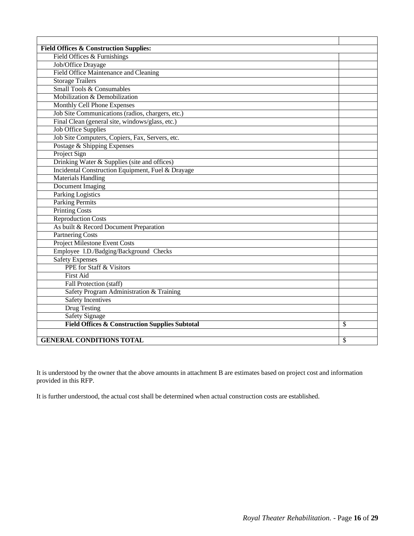| <b>Field Offices &amp; Construction Supplies:</b>         |    |
|-----------------------------------------------------------|----|
| Field Offices & Furnishings                               |    |
| Job/Office Drayage                                        |    |
| <b>Field Office Maintenance and Cleaning</b>              |    |
| <b>Storage Trailers</b>                                   |    |
| <b>Small Tools &amp; Consumables</b>                      |    |
| Mobilization & Demobilization                             |    |
| Monthly Cell Phone Expenses                               |    |
| Job Site Communications (radios, chargers, etc.)          |    |
| Final Clean (general site, windows/glass, etc.)           |    |
| <b>Job Office Supplies</b>                                |    |
| Job Site Computers, Copiers, Fax, Servers, etc.           |    |
| Postage & Shipping Expenses                               |    |
| Project Sign                                              |    |
| Drinking Water & Supplies (site and offices)              |    |
| Incidental Construction Equipment, Fuel & Drayage         |    |
| <b>Materials Handling</b>                                 |    |
| <b>Document Imaging</b>                                   |    |
| <b>Parking Logistics</b>                                  |    |
| <b>Parking Permits</b>                                    |    |
| <b>Printing Costs</b>                                     |    |
| <b>Reproduction Costs</b>                                 |    |
| As built & Record Document Preparation                    |    |
| <b>Partnering Costs</b>                                   |    |
| Project Milestone Event Costs                             |    |
| Employee I.D./Badging/Background Checks                   |    |
| <b>Safety Expenses</b>                                    |    |
| PPE for Staff & Visitors                                  |    |
| <b>First Aid</b>                                          |    |
| Fall Protection (staff)                                   |    |
| Safety Program Administration & Training                  |    |
| <b>Safety Incentives</b>                                  |    |
| <b>Drug Testing</b>                                       |    |
| <b>Safety Signage</b>                                     |    |
| <b>Field Offices &amp; Construction Supplies Subtotal</b> | \$ |
|                                                           |    |
| <b>GENERAL CONDITIONS TOTAL</b>                           | \$ |

It is understood by the owner that the above amounts in attachment B are estimates based on project cost and information provided in this RFP.

It is further understood, the actual cost shall be determined when actual construction costs are established.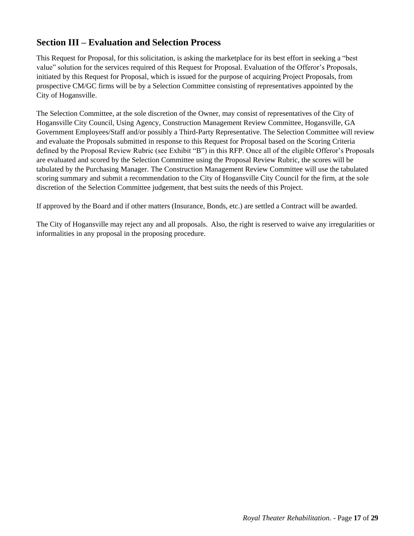# <span id="page-16-0"></span>**Section III – Evaluation and Selection Process**

This Request for Proposal, for this solicitation, is asking the marketplace for its best effort in seeking a "best value" solution for the services required of this Request for Proposal. Evaluation of the Offeror's Proposals, initiated by this Request for Proposal, which is issued for the purpose of acquiring Project Proposals, from prospective CM/GC firms will be by a Selection Committee consisting of representatives appointed by the City of Hogansville.

The Selection Committee, at the sole discretion of the Owner, may consist of representatives of the City of Hogansville City Council, Using Agency, Construction Management Review Committee, Hogansville, GA Government Employees/Staff and/or possibly a Third-Party Representative. The Selection Committee will review and evaluate the Proposals submitted in response to this Request for Proposal based on the Scoring Criteria defined by the Proposal Review Rubric (see Exhibit "B") in this RFP. Once all of the eligible Offeror's Proposals are evaluated and scored by the Selection Committee using the Proposal Review Rubric, the scores will be tabulated by the Purchasing Manager. The Construction Management Review Committee will use the tabulated scoring summary and submit a recommendation to the City of Hogansville City Council for the firm, at the sole discretion of the Selection Committee judgement, that best suits the needs of this Project.

If approved by the Board and if other matters (Insurance, Bonds, etc.) are settled a Contract will be awarded.

The City of Hogansville may reject any and all proposals. Also, the right is reserved to waive any irregularities or informalities in any proposal in the proposing procedure.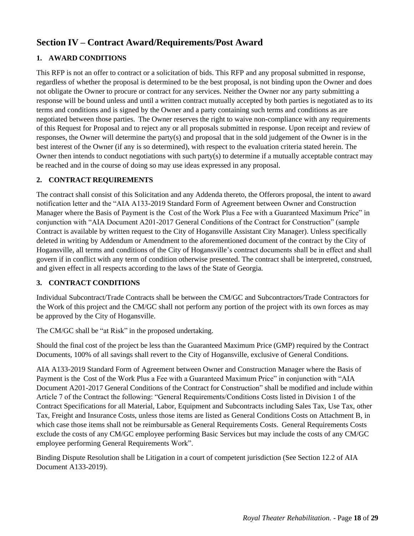# <span id="page-17-0"></span>**Section IV – Contract Award/Requirements/Post Award**

# **1. AWARD CONDITIONS**

This RFP is not an offer to contract or a solicitation of bids. This RFP and any proposal submitted in response, regardless of whether the proposal is determined to be the best proposal, is not binding upon the Owner and does not obligate the Owner to procure or contract for any services. Neither the Owner nor any party submitting a response will be bound unless and until a written contract mutually accepted by both parties is negotiated as to its terms and conditions and is signed by the Owner and a party containing such terms and conditions as are negotiated between those parties. The Owner reserves the right to waive non-compliance with any requirements of this Request for Proposal and to reject any or all proposals submitted in response. Upon receipt and review of responses, the Owner will determine the party(s) and proposal that in the sold judgement of the Owner is in the best interest of the Owner (if any is so determined), with respect to the evaluation criteria stated herein. The Owner then intends to conduct negotiations with such party(s) to determine if a mutually acceptable contract may be reached and in the course of doing so may use ideas expressed in any proposal.

# **2. CONTRACT REQUIREMENTS**

The contract shall consist of this Solicitation and any Addenda thereto, the Offerors proposal, the intent to award notification letter and the "AIA A133-2019 Standard Form of Agreement between Owner and Construction Manager where the Basis of Payment is the Cost of the Work Plus a Fee with a Guaranteed Maximum Price" in conjunction with "AIA Document A201-2017 General Conditions of the Contract for Construction" (sample Contract is available by written request to the City of Hogansville Assistant City Manager). Unless specifically deleted in writing by Addendum or Amendment to the aforementioned document of the contract by the City of Hogansville, all terms and conditions of the City of Hogansville's contract documents shall be in effect and shall govern if in conflict with any term of condition otherwise presented. The contract shall be interpreted, construed, and given effect in all respects according to the laws of the State of Georgia.

# **3. CONTRACT CONDITIONS**

Individual Subcontract/Trade Contracts shall be between the CM/GC and Subcontractors/Trade Contractors for the Work of this project and the CM/GC shall not perform any portion of the project with its own forces as may be approved by the City of Hogansville.

The CM/GC shall be "at Risk" in the proposed undertaking.

Should the final cost of the project be less than the Guaranteed Maximum Price (GMP) required by the Contract Documents, 100% of all savings shall revert to the City of Hogansville, exclusive of General Conditions.

AIA A133-2019 Standard Form of Agreement between Owner and Construction Manager where the Basis of Payment is the Cost of the Work Plus a Fee with a Guaranteed Maximum Price" in conjunction with "AIA Document A201-2017 General Conditions of the Contract for Construction" shall be modified and include within Article 7 of the Contract the following: "General Requirements/Conditions Costs listed in Division 1 of the Contract Specifications for all Material, Labor, Equipment and Subcontracts including Sales Tax, Use Tax, other Tax, Freight and Insurance Costs, unless those items are listed as General Conditions Costs on Attachment B, in which case those items shall not be reimbursable as General Requirements Costs. General Requirements Costs exclude the costs of any CM/GC employee performing Basic Services but may include the costs of any CM/GC employee performing General Requirements Work".

Binding Dispute Resolution shall be Litigation in a court of competent jurisdiction (See Section 12.2 of AIA Document A133-2019).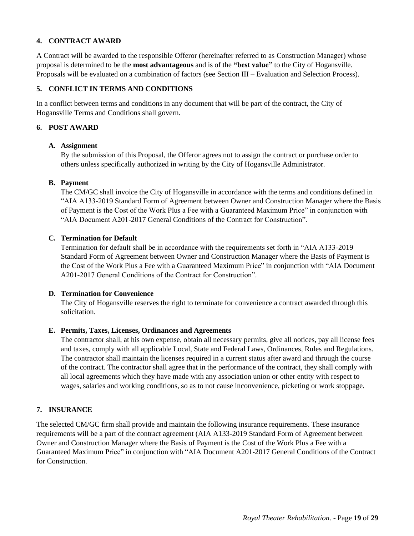# **4. CONTRACT AWARD**

A Contract will be awarded to the responsible Offeror (hereinafter referred to as Construction Manager) whose proposal is determined to be the **most advantageous** and is of the **"best value"** to the City of Hogansville. Proposals will be evaluated on a combination of factors (see Section III – Evaluation and Selection Process).

## **5. CONFLICT IN TERMS AND CONDITIONS**

In a conflict between terms and conditions in any document that will be part of the contract, the City of Hogansville Terms and Conditions shall govern.

### **6. POST AWARD**

### **A. Assignment**

By the submission of this Proposal, the Offeror agrees not to assign the contract or purchase order to others unless specifically authorized in writing by the City of Hogansville Administrator.

### **B. Payment**

The CM/GC shall invoice the City of Hogansville in accordance with the terms and conditions defined in "AIA A133-2019 Standard Form of Agreement between Owner and Construction Manager where the Basis of Payment is the Cost of the Work Plus a Fee with a Guaranteed Maximum Price" in conjunction with "AIA Document A201-2017 General Conditions of the Contract for Construction".

### **C. Termination for Default**

Termination for default shall be in accordance with the requirements set forth in "AIA A133-2019 Standard Form of Agreement between Owner and Construction Manager where the Basis of Payment is the Cost of the Work Plus a Fee with a Guaranteed Maximum Price" in conjunction with "AIA Document A201-2017 General Conditions of the Contract for Construction".

### **D. Termination for Convenience**

The City of Hogansville reserves the right to terminate for convenience a contract awarded through this solicitation.

#### **E. Permits, Taxes, Licenses, Ordinances and Agreements**

The contractor shall, at his own expense, obtain all necessary permits, give all notices, pay all license fees and taxes, comply with all applicable Local, State and Federal Laws, Ordinances, Rules and Regulations. The contractor shall maintain the licenses required in a current status after award and through the course of the contract. The contractor shall agree that in the performance of the contract, they shall comply with all local agreements which they have made with any association union or other entity with respect to wages, salaries and working conditions, so as to not cause inconvenience, picketing or work stoppage.

## **7. INSURANCE**

The selected CM/GC firm shall provide and maintain the following insurance requirements. These insurance requirements will be a part of the contract agreement (AIA A133-2019 Standard Form of Agreement between Owner and Construction Manager where the Basis of Payment is the Cost of the Work Plus a Fee with a Guaranteed Maximum Price" in conjunction with "AIA Document A201-2017 General Conditions of the Contract for Construction.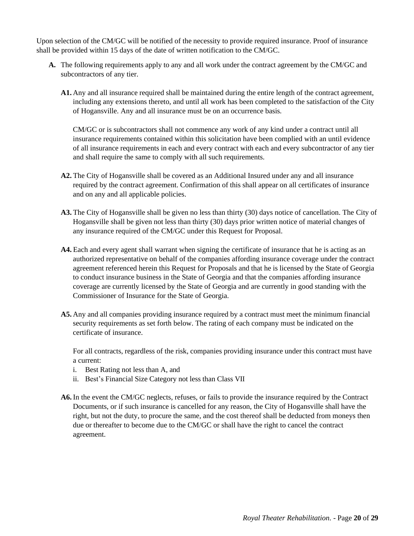Upon selection of the CM/GC will be notified of the necessity to provide required insurance. Proof of insurance shall be provided within 15 days of the date of written notification to the CM/GC.

- **A.** The following requirements apply to any and all work under the contract agreement by the CM/GC and subcontractors of any tier.
	- **A1.** Any and all insurance required shall be maintained during the entire length of the contract agreement, including any extensions thereto, and until all work has been completed to the satisfaction of the City of Hogansville. Any and all insurance must be on an occurrence basis.

CM/GC or is subcontractors shall not commence any work of any kind under a contract until all insurance requirements contained within this solicitation have been complied with an until evidence of all insurance requirements in each and every contract with each and every subcontractor of any tier and shall require the same to comply with all such requirements.

- **A2.** The City of Hogansville shall be covered as an Additional Insured under any and all insurance required by the contract agreement. Confirmation of this shall appear on all certificates of insurance and on any and all applicable policies.
- **A3.** The City of Hogansville shall be given no less than thirty (30) days notice of cancellation. The City of Hogansville shall be given not less than thirty (30) days prior written notice of material changes of any insurance required of the CM/GC under this Request for Proposal.
- **A4.** Each and every agent shall warrant when signing the certificate of insurance that he is acting as an authorized representative on behalf of the companies affording insurance coverage under the contract agreement referenced herein this Request for Proposals and that he is licensed by the State of Georgia to conduct insurance business in the State of Georgia and that the companies affording insurance coverage are currently licensed by the State of Georgia and are currently in good standing with the Commissioner of Insurance for the State of Georgia.
- **A5.** Any and all companies providing insurance required by a contract must meet the minimum financial security requirements as set forth below. The rating of each company must be indicated on the certificate of insurance.

For all contracts, regardless of the risk, companies providing insurance under this contract must have a current:

- i. Best Rating not less than A, and
- ii. Best's Financial Size Category not less than Class VII
- **A6.** In the event the CM/GC neglects, refuses, or fails to provide the insurance required by the Contract Documents, or if such insurance is cancelled for any reason, the City of Hogansville shall have the right, but not the duty, to procure the same, and the cost thereof shall be deducted from moneys then due or thereafter to become due to the CM/GC or shall have the right to cancel the contract agreement.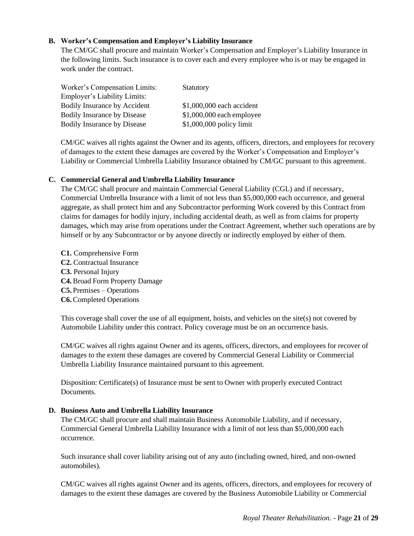## **B. Worker's Compensation and Employer's Liability Insurance**

The CM/GC shall procure and maintain Worker's Compensation and Employer's Liability Insurance in the following limits. Such insurance is to cover each and every employee who is or may be engaged in work under the contract.

| Worker's Compensation Limits:       | Statutory                  |
|-------------------------------------|----------------------------|
| <b>Employer's Liability Limits:</b> |                            |
| Bodily Insurance by Accident        | \$1,000,000 each accident  |
| <b>Bodily Insurance by Disease</b>  | $$1,000,000$ each employee |
| <b>Bodily Insurance by Disease</b>  | $$1,000,000$ policy limit  |

CM/GC waives all rights against the Owner and its agents, officers, directors, and employees for recovery of damages to the extent these damages are covered by the Worker's Compensation and Employer's Liability or Commercial Umbrella Liability Insurance obtained by CM/GC pursuant to this agreement.

### **C. Commercial General and Umbrella Liability Insurance**

The CM/GC shall procure and maintain Commercial General Liability (CGL) and if necessary, Commercial Umbrella Insurance with a limit of not less than \$5,000,000 each occurrence, and general aggregate, as shall protect him and any Subcontractor performing Work covered by this Contract from claims for damages for bodily injury, including accidental death, as well as from claims for property damages, which may arise from operations under the Contract Agreement, whether such operations are by himself or by any Subcontractor or by anyone directly or indirectly employed by either of them.

**C1.** Comprehensive Form **C2.** Contractual Insurance **C3.** Personal Injury **C4.** Broad Form Property Damage **C5.** Premises – Operations **C6.** Completed Operations

This coverage shall cover the use of all equipment, hoists, and vehicles on the site(s) not covered by Automobile Liability under this contract. Policy coverage must be on an occurrence basis.

CM/GC waives all rights against Owner and its agents, officers, directors, and employees for recover of damages to the extent these damages are covered by Commercial General Liability or Commercial Umbrella Liability Insurance maintained pursuant to this agreement.

Disposition: Certificate(s) of Insurance must be sent to Owner with properly executed Contract Documents.

#### **D. Business Auto and Umbrella Liability Insurance**

The CM/GC shall procure and shall maintain Business Automobile Liability, and if necessary, Commercial General Umbrella Liability Insurance with a limit of not less than \$5,000,000 each occurrence.

Such insurance shall cover liability arising out of any auto (including owned, hired, and non-owned automobiles).

CM/GC waives all rights against Owner and its agents, officers, directors, and employees for recovery of damages to the extent these damages are covered by the Business Automobile Liability or Commercial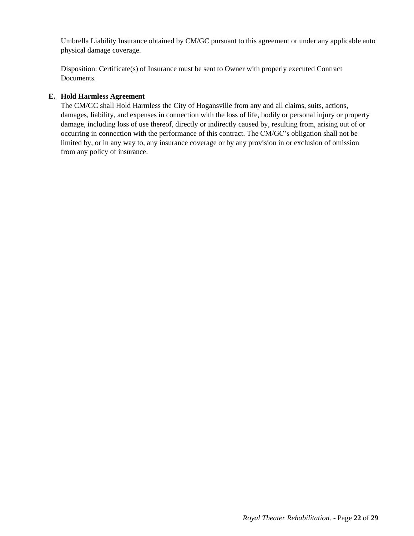Umbrella Liability Insurance obtained by CM/GC pursuant to this agreement or under any applicable auto physical damage coverage.

Disposition: Certificate(s) of Insurance must be sent to Owner with properly executed Contract Documents.

# **E. Hold Harmless Agreement**

The CM/GC shall Hold Harmless the City of Hogansville from any and all claims, suits, actions, damages, liability, and expenses in connection with the loss of life, bodily or personal injury or property damage, including loss of use thereof, directly or indirectly caused by, resulting from, arising out of or occurring in connection with the performance of this contract. The CM/GC's obligation shall not be limited by, or in any way to, any insurance coverage or by any provision in or exclusion of omission from any policy of insurance.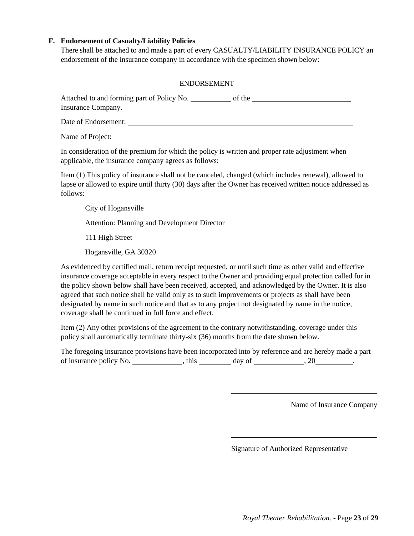## **F. Endorsement of Casualty/Liability Policies**

There shall be attached to and made a part of every CASUALTY/LIABILITY INSURANCE POLICY an endorsement of the insurance company in accordance with the specimen shown below:

### ENDORSEMENT

| Attached to and forming part of Policy No. | of the |  |
|--------------------------------------------|--------|--|
| Insurance Company.                         |        |  |
| Date of Endorsement:                       |        |  |
|                                            |        |  |

Name of Project:

In consideration of the premium for which the policy is written and proper rate adjustment when applicable, the insurance company agrees as follows:

Item (1) This policy of insurance shall not be canceled, changed (which includes renewal), allowed to lapse or allowed to expire until thirty (30) days after the Owner has received written notice addressed as follows:

City of Hogansville

Attention: Planning and Development Director

111 High Street

Hogansville, GA 30320

As evidenced by certified mail, return receipt requested, or until such time as other valid and effective insurance coverage acceptable in every respect to the Owner and providing equal protection called for in the policy shown below shall have been received, accepted, and acknowledged by the Owner. It is also agreed that such notice shall be valid only as to such improvements or projects as shall have been designated by name in such notice and that as to any project not designated by name in the notice, coverage shall be continued in full force and effect.

Item (2) Any other provisions of the agreement to the contrary notwithstanding, coverage under this policy shall automatically terminate thirty-six (36) months from the date shown below.

The foregoing insurance provisions have been incorporated into by reference and are hereby made a part of insurance policy No.  $\qquad \qquad$  , this  $\qquad \qquad$  day of  $\qquad \qquad$  , 20  $\qquad \qquad$ .

Name of Insurance Company

Signature of Authorized Representative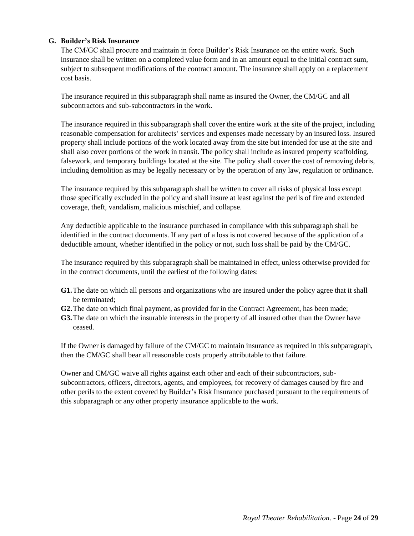# **G. Builder's Risk Insurance**

The CM/GC shall procure and maintain in force Builder's Risk Insurance on the entire work. Such insurance shall be written on a completed value form and in an amount equal to the initial contract sum, subject to subsequent modifications of the contract amount. The insurance shall apply on a replacement cost basis.

The insurance required in this subparagraph shall name as insured the Owner, the CM/GC and all subcontractors and sub-subcontractors in the work.

The insurance required in this subparagraph shall cover the entire work at the site of the project, including reasonable compensation for architects' services and expenses made necessary by an insured loss. Insured property shall include portions of the work located away from the site but intended for use at the site and shall also cover portions of the work in transit. The policy shall include as insured property scaffolding, falsework, and temporary buildings located at the site. The policy shall cover the cost of removing debris, including demolition as may be legally necessary or by the operation of any law, regulation or ordinance.

The insurance required by this subparagraph shall be written to cover all risks of physical loss except those specifically excluded in the policy and shall insure at least against the perils of fire and extended coverage, theft, vandalism, malicious mischief, and collapse.

Any deductible applicable to the insurance purchased in compliance with this subparagraph shall be identified in the contract documents. If any part of a loss is not covered because of the application of a deductible amount, whether identified in the policy or not, such loss shall be paid by the CM/GC.

The insurance required by this subparagraph shall be maintained in effect, unless otherwise provided for in the contract documents, until the earliest of the following dates:

- **G1.**The date on which all persons and organizations who are insured under the policy agree that it shall be terminated;
- **G2.**The date on which final payment, as provided for in the Contract Agreement, has been made;
- **G3.**The date on which the insurable interests in the property of all insured other than the Owner have ceased.

If the Owner is damaged by failure of the CM/GC to maintain insurance as required in this subparagraph, then the CM/GC shall bear all reasonable costs properly attributable to that failure.

Owner and CM/GC waive all rights against each other and each of their subcontractors, subsubcontractors, officers, directors, agents, and employees, for recovery of damages caused by fire and other perils to the extent covered by Builder's Risk Insurance purchased pursuant to the requirements of this subparagraph or any other property insurance applicable to the work.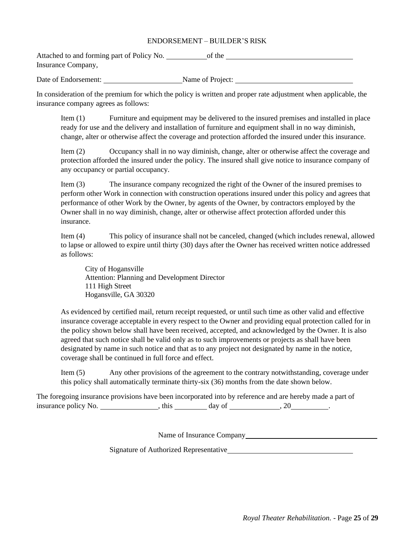## ENDORSEMENT – BUILDER'S RISK

Attached to and forming part of Policy No. of the Insurance Company,

Date of Endorsement: Name of Project:

In consideration of the premium for which the policy is written and proper rate adjustment when applicable, the insurance company agrees as follows:

Item (1) Furniture and equipment may be delivered to the insured premises and installed in place ready for use and the delivery and installation of furniture and equipment shall in no way diminish, change, alter or otherwise affect the coverage and protection afforded the insured under this insurance.

Item (2) Occupancy shall in no way diminish, change, alter or otherwise affect the coverage and protection afforded the insured under the policy. The insured shall give notice to insurance company of any occupancy or partial occupancy.

Item (3) The insurance company recognized the right of the Owner of the insured premises to perform other Work in connection with construction operations insured under this policy and agrees that performance of other Work by the Owner, by agents of the Owner, by contractors employed by the Owner shall in no way diminish, change, alter or otherwise affect protection afforded under this insurance.

Item (4) This policy of insurance shall not be canceled, changed (which includes renewal, allowed to lapse or allowed to expire until thirty (30) days after the Owner has received written notice addressed as follows:

City of Hogansville Attention: Planning and Development Director 111 High Street Hogansville, GA 30320

As evidenced by certified mail, return receipt requested, or until such time as other valid and effective insurance coverage acceptable in every respect to the Owner and providing equal protection called for in the policy shown below shall have been received, accepted, and acknowledged by the Owner. It is also agreed that such notice shall be valid only as to such improvements or projects as shall have been designated by name in such notice and that as to any project not designated by name in the notice, coverage shall be continued in full force and effect.

Item (5) Any other provisions of the agreement to the contrary notwithstanding, coverage under this policy shall automatically terminate thirty-six (36) months from the date shown below.

The foregoing insurance provisions have been incorporated into by reference and are hereby made a part of insurance policy No.  $\qquad \qquad$ , this  $\qquad \qquad$  day of  $\qquad \qquad$ , 20  $\qquad \qquad$ .

Name of Insurance Company

Signature of Authorized Representative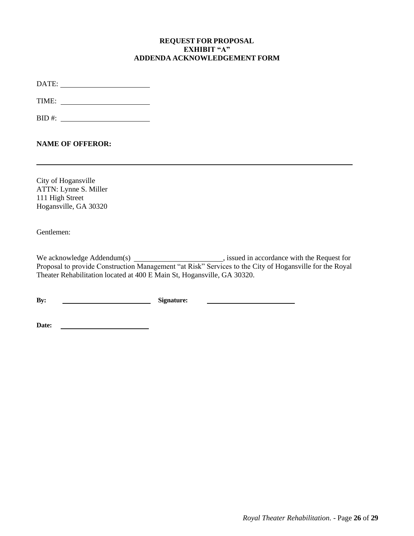## **REQUEST FOR PROPOSAL EXHIBIT "A" ADDENDA ACKNOWLEDGEMENT FORM**

DATE:

TIME:

 $BID \#:$ 

**NAME OF OFFEROR:**

City of Hogansville ATTN: Lynne S. Miller 111 High Street Hogansville, GA 30320

Gentlemen:

We acknowledge Addendum(s) , issued in accordance with the Request for Proposal to provide Construction Management "at Risk" Services to the City of Hogansville for the Royal Theater Rehabilitation located at 400 E Main St, Hogansville, GA 30320.

**By: Signature:**

**Date:**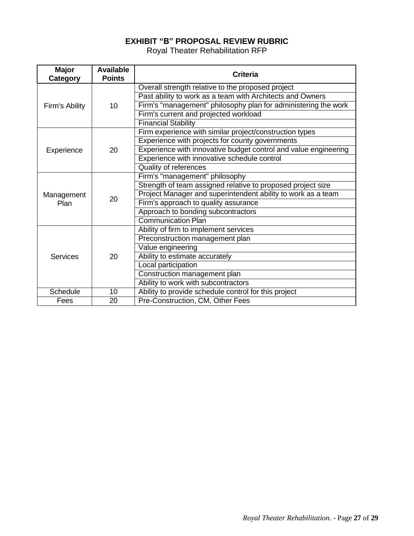# **EXHIBIT "B" PROPOSAL REVIEW RUBRIC**

Royal Theater Rehabilitation RFP

<span id="page-26-0"></span>

| <b>Major</b><br>Category | <b>Available</b><br><b>Points</b> | <b>Criteria</b>                                                 |
|--------------------------|-----------------------------------|-----------------------------------------------------------------|
|                          |                                   | Overall strength relative to the proposed project               |
|                          |                                   | Past ability to work as a team with Architects and Owners       |
| Firm's Ability           | 10                                | Firm's "management" philosophy plan for administering the work  |
|                          |                                   | Firm's current and projected workload                           |
|                          |                                   | <b>Financial Stability</b>                                      |
|                          |                                   | Firm experience with similar project/construction types         |
|                          |                                   | Experience with projects for county governments                 |
| Experience               | 20                                | Experience with innovative budget control and value engineering |
|                          |                                   | Experience with innovative schedule control                     |
|                          |                                   | <b>Quality of references</b>                                    |
|                          |                                   | Firm's "management" philosophy                                  |
|                          |                                   | Strength of team assigned relative to proposed project size     |
| Management               | 20                                | Project Manager and superintendent ability to work as a team    |
| Plan                     |                                   | Firm's approach to quality assurance                            |
|                          |                                   | Approach to bonding subcontractors                              |
|                          |                                   | <b>Communication Plan</b>                                       |
|                          |                                   | Ability of firm to implement services                           |
|                          |                                   | Preconstruction management plan                                 |
|                          |                                   | Value engineering                                               |
| <b>Services</b>          | 20                                | Ability to estimate accurately                                  |
|                          |                                   | Local participation                                             |
|                          |                                   | Construction management plan                                    |
|                          |                                   | Ability to work with subcontractors                             |
| <b>Schedule</b>          | 10                                | Ability to provide schedule control for this project            |
| Fees                     | 20                                | Pre-Construction, CM, Other Fees                                |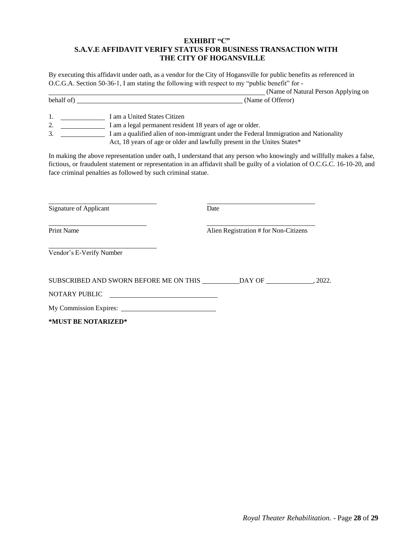## **EXHIBIT "C" S.A.V.E AFFIDAVIT VERIFY STATUS FOR BUSINESS TRANSACTION WITH THE CITY OF HOGANSVILLE**

By executing this affidavit under oath, as a vendor for the City of Hogansville for public benefits as referenced in O.C.G.A. Section 50-36-1, I am stating the following with respect to my "public benefit" for -

|            | (Name of Natural Person Applying on |
|------------|-------------------------------------|
| behalf of) | (Name of Offeror)                   |

1. I am a United States Citizen

2. I am a legal permanent resident 18 years of age or older.

3. I am a qualified alien of non-immigrant under the Federal Immigration and Nationality Act, 18 years of age or older and lawfully present in the Unites States\*

In making the above representation under oath, I understand that any person who knowingly and willfully makes a false, fictious, or fraudulent statement or representation in an affidavit shall be guilty of a violation of O.C.G.C. 16-10-20, and face criminal penalties as followed by such criminal statue.

| <b>Signature of Applicant</b>                                                                                           | Date                                  |  |
|-------------------------------------------------------------------------------------------------------------------------|---------------------------------------|--|
| <b>Print Name</b>                                                                                                       | Alien Registration # for Non-Citizens |  |
| Vendor's E-Verify Number                                                                                                |                                       |  |
| SUBSCRIBED AND SWORN BEFORE ME ON THIS                                                                                  | DAY OF 2022.                          |  |
| <b>NOTARY PUBLIC</b><br>the contract of the contract of the contract of the contract of the contract of the contract of |                                       |  |
| My Commission Expires:                                                                                                  |                                       |  |
| *MUST BE NOTARIZED*                                                                                                     |                                       |  |